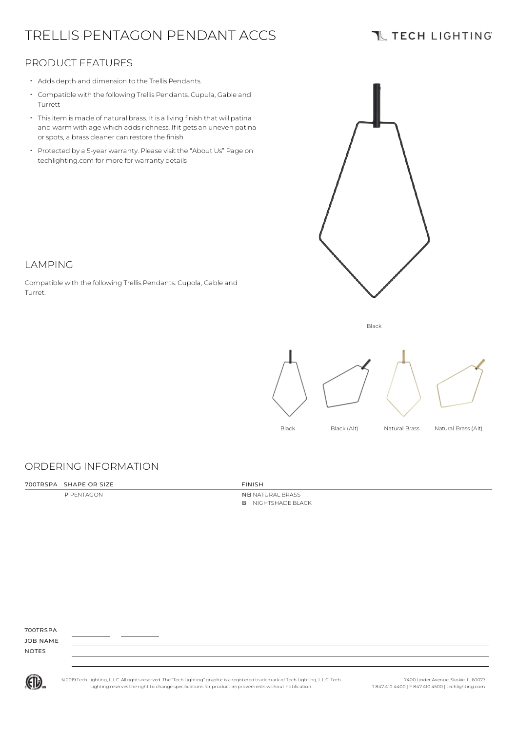# TRELLIS PENTAGON PENDANT ACCS

## **TL TECH LIGHTING**

## PRODUCT FEATURES

- Adds depth and dimension to the Trellis Pendants.
- Compatible with the following Trellis Pendants. Cupula, Gable and Turrett
- Thisitem is made of natural brass. It is a living finish that will patina and warm with age which adds richness. If it gets an uneven patina or spots, a brass cleaner can restore the finish
- Protected by a 5-year warranty. Please visit the "About Us" Page on techlighting.com for more for warranty details



## LAMPING

Compatible with the following Trellis Pendants. Cupola, Gable and Turret.





## ORDERING INFORMATION

#### 700TRSPA SHAPE OR SIZE FINISH

#### P PENTAGON NB NATURAL BRASS B NIGHTSHADE BLACK

700TRSPA JOB NAME

NOTES



© 2019 Tech Lighting, L.L.C. All rightsreserved. The "Tech Lighting" graphicis a registered trademark of Tech Lighting, L.L.C. Tech Lighting reservesthe right to change specificationsfor product improvements without notification.

7400 Linder Avenue, Skokie, IL 60077 T 847.410.4400 | F 847.410.4500 | techlighting.com